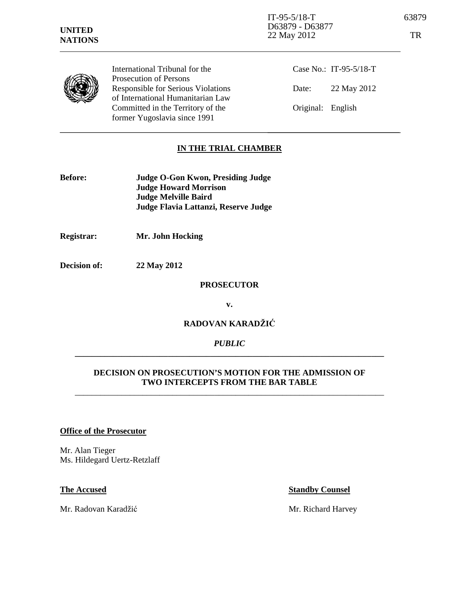| <b>UNITED</b><br><b>NATIONS</b> |                                                                                                                 | $IT-95-5/18-T$<br>D63879 - D63877<br>22 May 2012 | 63879<br>TR |
|---------------------------------|-----------------------------------------------------------------------------------------------------------------|--------------------------------------------------|-------------|
|                                 | International Tribunal for the                                                                                  | Case No.: IT-95-5/18-T                           |             |
|                                 | <b>Prosecution of Persons</b><br><b>Responsible for Serious Violations</b><br>of International Humanitarian Law | 22 May 2012<br>Date:                             |             |
|                                 | Committed in the Territory of the<br>former Yugoslavia since 1991                                               | Original: English                                |             |

# **IN THE TRIAL CHAMBER**

| <b>Before:</b> | Judge O-Gon Kwon, Presiding Judge    |
|----------------|--------------------------------------|
|                | <b>Judge Howard Morrison</b>         |
|                | <b>Judge Melville Baird</b>          |
|                | Judge Flavia Lattanzi, Reserve Judge |

**Registrar: Mr. John Hocking** 

**Decision of: 22 May 2012** 

## **PROSECUTOR**

**v.** 

# **RADOVAN KARADŽI**Ć

### *PUBLIC*  **\_\_\_\_\_\_\_\_\_\_\_\_\_\_\_\_\_\_\_\_\_\_\_\_\_\_\_\_\_\_\_\_\_\_\_\_\_\_\_\_\_\_\_\_\_\_\_\_\_\_\_\_\_\_\_\_\_\_\_\_\_\_\_\_\_\_\_\_\_\_\_\_\_**

## **DECISION ON PROSECUTION'S MOTION FOR THE ADMISSION OF TWO INTERCEPTS FROM THE BAR TABLE**

\_\_\_\_\_\_\_\_\_\_\_\_\_\_\_\_\_\_\_\_\_\_\_\_\_\_\_\_\_\_\_\_\_\_\_\_\_\_\_\_\_\_\_\_\_\_\_\_\_\_\_\_\_\_\_\_\_\_\_\_\_\_\_\_\_\_\_\_\_\_\_\_\_

# **Office of the Prosecutor**

Mr. Alan Tieger Ms. Hildegard Uertz-Retzlaff

Mr. Radovan Karadžić Mr. Richard Harvey

#### **The Accused Standby Counsel**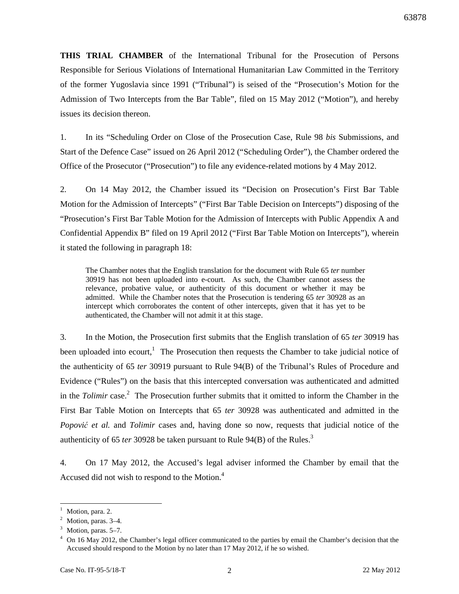**THIS TRIAL CHAMBER** of the International Tribunal for the Prosecution of Persons Responsible for Serious Violations of International Humanitarian Law Committed in the Territory of the former Yugoslavia since 1991 ("Tribunal") is seised of the "Prosecution's Motion for the Admission of Two Intercepts from the Bar Table", filed on 15 May 2012 ("Motion"), and hereby issues its decision thereon.

1. In its "Scheduling Order on Close of the Prosecution Case, Rule 98 *bis* Submissions, and Start of the Defence Case" issued on 26 April 2012 ("Scheduling Order"), the Chamber ordered the Office of the Prosecutor ("Prosecution") to file any evidence-related motions by 4 May 2012.

2. On 14 May 2012, the Chamber issued its "Decision on Prosecution's First Bar Table Motion for the Admission of Intercepts" ("First Bar Table Decision on Intercepts") disposing of the "Prosecution's First Bar Table Motion for the Admission of Intercepts with Public Appendix A and Confidential Appendix B" filed on 19 April 2012 ("First Bar Table Motion on Intercepts"), wherein it stated the following in paragraph 18:

The Chamber notes that the English translation for the document with Rule 65 *ter* number 30919 has not been uploaded into e-court. As such, the Chamber cannot assess the relevance, probative value, or authenticity of this document or whether it may be admitted. While the Chamber notes that the Prosecution is tendering 65 *ter* 30928 as an intercept which corroborates the content of other intercepts, given that it has yet to be authenticated, the Chamber will not admit it at this stage.

3. In the Motion, the Prosecution first submits that the English translation of 65 *ter* 30919 has been uploaded into ecourt,<sup>1</sup> The Prosecution then requests the Chamber to take judicial notice of the authenticity of 65 *ter* 30919 pursuant to Rule 94(B) of the Tribunal's Rules of Procedure and Evidence ("Rules") on the basis that this intercepted conversation was authenticated and admitted in the *Tolimir* case. 2 The Prosecution further submits that it omitted to inform the Chamber in the First Bar Table Motion on Intercepts that 65 *ter* 30928 was authenticated and admitted in the *Popovi*ć *et al.* and *Tolimir* cases and, having done so now, requests that judicial notice of the authenticity of 65 *ter* 30928 be taken pursuant to Rule 94(B) of the Rules. 3

4. On 17 May 2012, the Accused's legal adviser informed the Chamber by email that the Accused did not wish to respond to the Motion.<sup>4</sup>

l

 $<sup>1</sup>$  Motion, para. 2.</sup>

 $<sup>2</sup>$  Motion, paras. 3-4.</sup>

<sup>&</sup>lt;sup>3</sup> Motion, paras. 5–7.

<sup>&</sup>lt;sup>4</sup> On 16 May 2012, the Chamber's legal officer communicated to the parties by email the Chamber's decision that the Accused should respond to the Motion by no later than 17 May 2012, if he so wished.